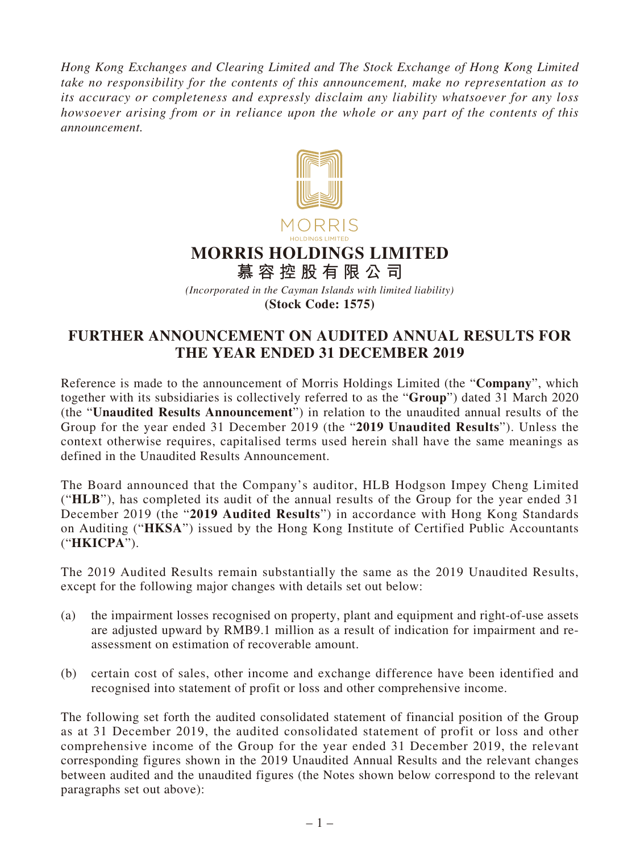*Hong Kong Exchanges and Clearing Limited and The Stock Exchange of Hong Kong Limited take no responsibility for the contents of this announcement, make no representation as to its accuracy or completeness and expressly disclaim any liability whatsoever for any loss howsoever arising from or in reliance upon the whole or any part of the contents of this announcement.*



*(Incorporated in the Cayman Islands with limited liability)* **(Stock Code: 1575)**

# **FURTHER ANNOUNCEMENT ON AUDITED ANNUAL RESULTS FOR THE YEAR ENDED 31 DECEMBER 2019**

Reference is made to the announcement of Morris Holdings Limited (the "**Company**", which together with its subsidiaries is collectively referred to as the "**Group**") dated 31 March 2020 (the "**Unaudited Results Announcement**") in relation to the unaudited annual results of the Group for the year ended 31 December 2019 (the "**2019 Unaudited Results**"). Unless the context otherwise requires, capitalised terms used herein shall have the same meanings as defined in the Unaudited Results Announcement.

The Board announced that the Company's auditor, HLB Hodgson Impey Cheng Limited ("**HLB**"), has completed its audit of the annual results of the Group for the year ended 31 December 2019 (the "**2019 Audited Results**") in accordance with Hong Kong Standards on Auditing ("**HKSA**") issued by the Hong Kong Institute of Certified Public Accountants ("**HKICPA**").

The 2019 Audited Results remain substantially the same as the 2019 Unaudited Results, except for the following major changes with details set out below:

- (a) the impairment losses recognised on property, plant and equipment and right-of-use assets are adjusted upward by RMB9.1 million as a result of indication for impairment and reassessment on estimation of recoverable amount.
- (b) certain cost of sales, other income and exchange difference have been identified and recognised into statement of profit or loss and other comprehensive income.

The following set forth the audited consolidated statement of financial position of the Group as at 31 December 2019, the audited consolidated statement of profit or loss and other comprehensive income of the Group for the year ended 31 December 2019, the relevant corresponding figures shown in the 2019 Unaudited Annual Results and the relevant changes between audited and the unaudited figures (the Notes shown below correspond to the relevant paragraphs set out above):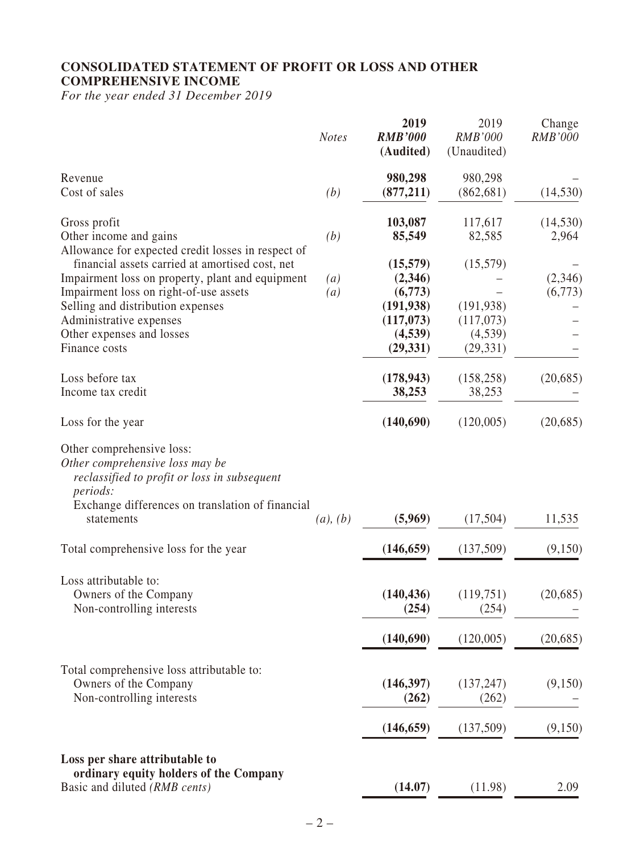#### **CONSOLIDATED STATEMENT OF PROFIT OR LOSS AND OTHER COMPREHENSIVE INCOME**

*For the year ended 31 December 2019*

|                                                                                                                                                                                                   | <b>Notes</b>      | 2019<br><b>RMB'000</b><br>(Audited) | 2019<br><b>RMB'000</b><br>(Unaudited) | Change<br><b>RMB'000</b> |
|---------------------------------------------------------------------------------------------------------------------------------------------------------------------------------------------------|-------------------|-------------------------------------|---------------------------------------|--------------------------|
| Revenue<br>Cost of sales                                                                                                                                                                          | (b)               | 980,298<br>(877, 211)               | 980,298<br>(862, 681)                 | (14, 530)                |
| Gross profit                                                                                                                                                                                      |                   | 103,087                             | 117,617                               | (14, 530)                |
| Other income and gains<br>Allowance for expected credit losses in respect of                                                                                                                      | (b)               | 85,549                              | 82,585                                | 2,964                    |
| financial assets carried at amortised cost, net                                                                                                                                                   |                   | (15,579)                            | (15,579)                              |                          |
| Impairment loss on property, plant and equipment                                                                                                                                                  | $\left( a\right)$ | (2,346)<br>(6,773)                  |                                       | (2,346)                  |
| Impairment loss on right-of-use assets<br>Selling and distribution expenses                                                                                                                       | (a)               | (191, 938)                          | (191, 938)                            | (6,773)                  |
| Administrative expenses                                                                                                                                                                           |                   | (117,073)                           | (117,073)                             |                          |
| Other expenses and losses                                                                                                                                                                         |                   | (4,539)                             | (4,539)                               |                          |
| Finance costs                                                                                                                                                                                     |                   | (29, 331)                           | (29, 331)                             |                          |
| Loss before tax<br>Income tax credit                                                                                                                                                              |                   | (178, 943)<br>38,253                | (158, 258)<br>38,253                  | (20, 685)                |
| Loss for the year                                                                                                                                                                                 |                   | (140,690)                           | (120,005)                             | (20, 685)                |
| Other comprehensive loss:<br>Other comprehensive loss may be<br>reclassified to profit or loss in subsequent<br><i>periods:</i><br>Exchange differences on translation of financial<br>statements | (a), (b)          | (5,969)                             | (17,504)                              | 11,535                   |
| Total comprehensive loss for the year                                                                                                                                                             |                   | (146, 659)                          | (137,509)                             | (9,150)                  |
| Loss attributable to:<br>Owners of the Company<br>Non-controlling interests                                                                                                                       |                   | (140, 436)<br>(254)                 | (119,751)<br>(254)                    | (20, 685)                |
|                                                                                                                                                                                                   |                   | (140,690)                           | (120,005)                             | (20, 685)                |
| Total comprehensive loss attributable to:<br>Owners of the Company<br>Non-controlling interests                                                                                                   |                   | (146,397)<br>(262)                  | (137, 247)<br>(262)                   | (9,150)                  |
|                                                                                                                                                                                                   |                   | (146, 659)                          | (137,509)                             | (9,150)                  |
| Loss per share attributable to<br>ordinary equity holders of the Company<br>Basic and diluted (RMB cents)                                                                                         |                   | (14.07)                             | (11.98)                               | 2.09                     |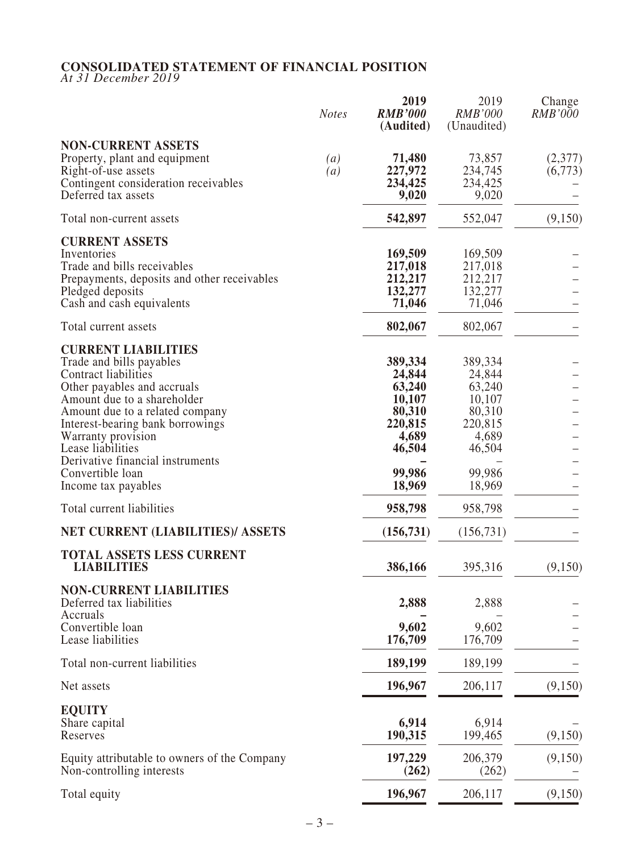#### **CONSOLIDATED STATEMENT OF FINANCIAL POSITION**

*At 31 December 2019*

|                                                                                                                                                                                                                                                                                                    | <b>Notes</b>                          | 2019<br><b>RMB'000</b><br>(Audited)                                           | 2019<br><b>RMB'000</b><br>(Unaudited)                                         | Change<br><i>RMB'000</i> |
|----------------------------------------------------------------------------------------------------------------------------------------------------------------------------------------------------------------------------------------------------------------------------------------------------|---------------------------------------|-------------------------------------------------------------------------------|-------------------------------------------------------------------------------|--------------------------|
| <b>NON-CURRENT ASSETS</b><br>Property, plant and equipment<br>Right-of-use assets<br>Contingent consideration receivables<br>Deferred tax assets                                                                                                                                                   | $\left( a\right)$<br>$\left(a\right)$ | 71,480<br>227,972<br>234,425<br>9,020                                         | 73,857<br>234,745<br>234,425<br>9,020                                         | (2,377)<br>(6,773)       |
| Total non-current assets                                                                                                                                                                                                                                                                           |                                       | 542,897                                                                       | 552,047                                                                       | (9,150)                  |
| <b>CURRENT ASSETS</b><br>Inventories<br>Trade and bills receivables<br>Prepayments, deposits and other receivables<br>Pledged deposits<br>Cash and cash equivalents                                                                                                                                |                                       | 169,509<br>217,018<br>212,217<br>132,277<br>71,046                            | 169,509<br>217,018<br>212,217<br>132,277<br>71,046                            |                          |
| Total current assets                                                                                                                                                                                                                                                                               |                                       | 802,067                                                                       | 802,067                                                                       |                          |
| <b>CURRENT LIABILITIES</b><br>Trade and bills payables<br>Contract liabilities<br>Other payables and accruals<br>Amount due to a shareholder<br>Amount due to a related company<br>Interest-bearing bank borrowings<br>Warranty provision<br>Lease liabilities<br>Derivative financial instruments |                                       | 389,334<br>24,844<br>63,240<br>10,107<br>80,310<br>220,815<br>4,689<br>46,504 | 389,334<br>24,844<br>63,240<br>10,107<br>80,310<br>220,815<br>4,689<br>46,504 |                          |
| Convertible loan<br>Income tax payables                                                                                                                                                                                                                                                            |                                       | 99,986<br>18,969                                                              | 99,986<br>18,969                                                              |                          |
| Total current liabilities                                                                                                                                                                                                                                                                          |                                       | 958,798                                                                       | 958,798                                                                       |                          |
| NET CURRENT (LIABILITIES)/ ASSETS                                                                                                                                                                                                                                                                  |                                       | (156, 731)                                                                    | (156, 731)                                                                    |                          |
| TOTAL ASSETS LESS CURRENT<br><b>LIABILITIES</b>                                                                                                                                                                                                                                                    |                                       | 386,166                                                                       | 395,316                                                                       | (9,150)                  |
| <b>NON-CURRENT LIABILITIES</b><br>Deferred tax liabilities<br>Accruals                                                                                                                                                                                                                             |                                       | 2,888                                                                         | 2,888                                                                         |                          |
| Convertible loan<br>Lease liabilities                                                                                                                                                                                                                                                              |                                       | 9,602<br>176,709                                                              | 9,602<br>176,709                                                              |                          |
| Total non-current liabilities                                                                                                                                                                                                                                                                      |                                       | 189,199                                                                       | 189,199                                                                       |                          |
| Net assets                                                                                                                                                                                                                                                                                         |                                       | 196,967                                                                       | 206,117                                                                       | (9,150)                  |
| <b>EQUITY</b><br>Share capital<br>Reserves                                                                                                                                                                                                                                                         |                                       | 6,914<br>190,315                                                              | 6,914<br>199,465                                                              | (9,150)                  |
| Equity attributable to owners of the Company<br>Non-controlling interests                                                                                                                                                                                                                          |                                       | 197,229<br>(262)                                                              | 206,379<br>(262)                                                              | (9,150)                  |
| Total equity                                                                                                                                                                                                                                                                                       |                                       | 196,967                                                                       | 206,117                                                                       | (9,150)                  |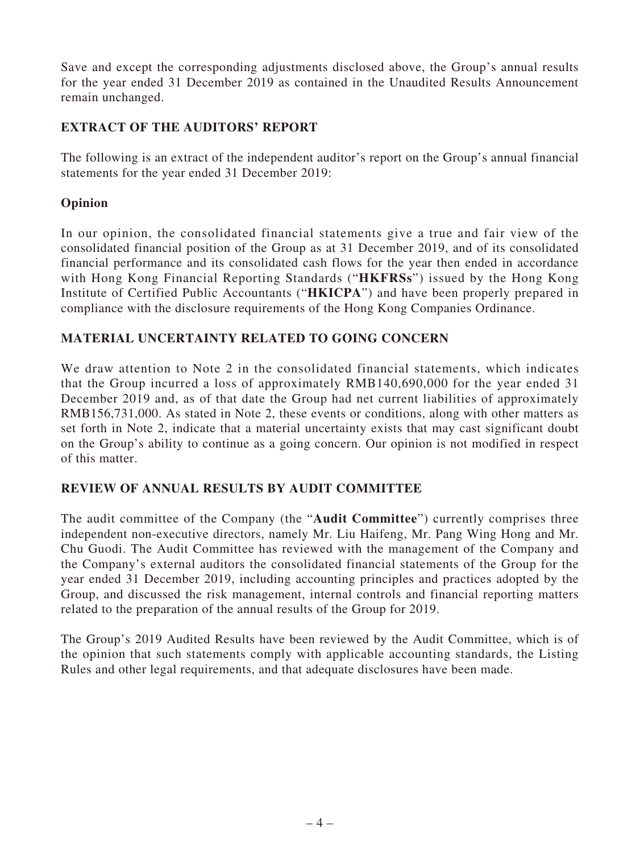Save and except the corresponding adjustments disclosed above, the Group's annual results for the year ended 31 December 2019 as contained in the Unaudited Results Announcement remain unchanged.

## **EXTRACT OF THE AUDITORS' REPORT**

The following is an extract of the independent auditor's report on the Group's annual financial statements for the year ended 31 December 2019:

#### **Opinion**

In our opinion, the consolidated financial statements give a true and fair view of the consolidated financial position of the Group as at 31 December 2019, and of its consolidated financial performance and its consolidated cash flows for the year then ended in accordance with Hong Kong Financial Reporting Standards ("**HKFRSs**") issued by the Hong Kong Institute of Certified Public Accountants ("**HKICPA**") and have been properly prepared in compliance with the disclosure requirements of the Hong Kong Companies Ordinance.

### **MATERIAL UNCERTAINTY RELATED TO GOING CONCERN**

We draw attention to Note 2 in the consolidated financial statements, which indicates that the Group incurred a loss of approximately RMB140,690,000 for the year ended 31 December 2019 and, as of that date the Group had net current liabilities of approximately RMB156,731,000. As stated in Note 2, these events or conditions, along with other matters as set forth in Note 2, indicate that a material uncertainty exists that may cast significant doubt on the Group's ability to continue as a going concern. Our opinion is not modified in respect of this matter.

### **REVIEW OF ANNUAL RESULTS BY AUDIT COMMITTEE**

The audit committee of the Company (the "**Audit Committee**") currently comprises three independent non-executive directors, namely Mr. Liu Haifeng, Mr. Pang Wing Hong and Mr. Chu Guodi. The Audit Committee has reviewed with the management of the Company and the Company's external auditors the consolidated financial statements of the Group for the year ended 31 December 2019, including accounting principles and practices adopted by the Group, and discussed the risk management, internal controls and financial reporting matters related to the preparation of the annual results of the Group for 2019.

The Group's 2019 Audited Results have been reviewed by the Audit Committee, which is of the opinion that such statements comply with applicable accounting standards, the Listing Rules and other legal requirements, and that adequate disclosures have been made.